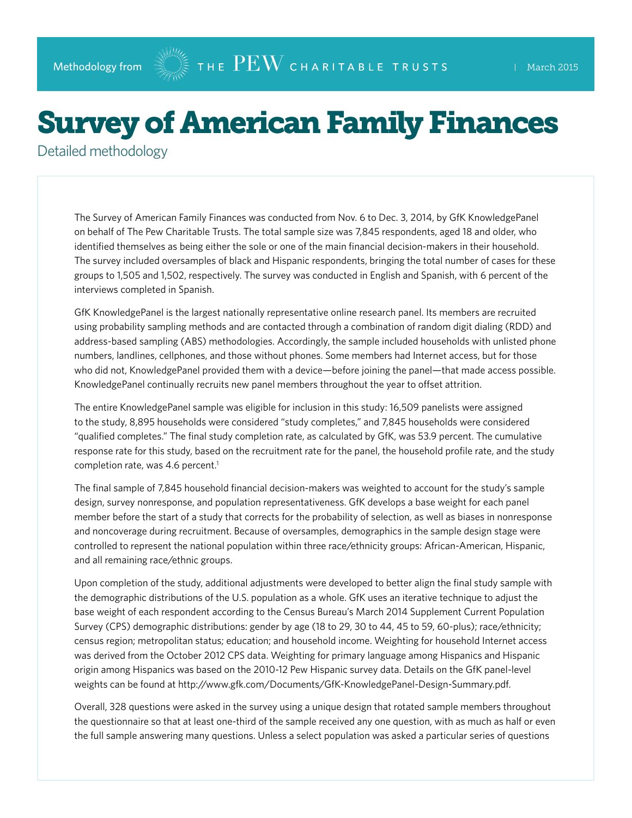## Survey of American Family Finances

Detailed methodology

The Survey of American Family Finances was conducted from Nov. 6 to Dec. 3, 2014, by GfK KnowledgePanel on behalf of The Pew Charitable Trusts. The total sample size was 7,845 respondents, aged 18 and older, who identified themselves as being either the sole or one of the main financial decision-makers in their household. The survey included oversamples of black and Hispanic respondents, bringing the total number of cases for these groups to 1,505 and 1,502, respectively. The survey was conducted in English and Spanish, with 6 percent of the interviews completed in Spanish.

GfK KnowledgePanel is the largest nationally representative online research panel. Its members are recruited using probability sampling methods and are contacted through a combination of random digit dialing (RDD) and address-based sampling (ABS) methodologies. Accordingly, the sample included households with unlisted phone numbers, landlines, cellphones, and those without phones. Some members had Internet access, but for those who did not, KnowledgePanel provided them with a device—before joining the panel—that made access possible. KnowledgePanel continually recruits new panel members throughout the year to offset attrition.

The entire KnowledgePanel sample was eligible for inclusion in this study: 16,509 panelists were assigned to the study, 8,895 households were considered "study completes," and 7,845 households were considered "qualified completes." The final study completion rate, as calculated by GfK, was 53.9 percent. The cumulative response rate for this study, based on the recruitment rate for the panel, the household profile rate, and the study completion rate, was 4.6 percent.<sup>1</sup>

The final sample of 7,845 household financial decision-makers was weighted to account for the study's sample design, survey nonresponse, and population representativeness. GfK develops a base weight for each panel member before the start of a study that corrects for the probability of selection, as well as biases in nonresponse and noncoverage during recruitment. Because of oversamples, demographics in the sample design stage were controlled to represent the national population within three race/ethnicity groups: African-American, Hispanic, and all remaining race/ethnic groups.

Upon completion of the study, additional adjustments were developed to better align the final study sample with the demographic distributions of the U.S. population as a whole. GfK uses an iterative technique to adjust the base weight of each respondent according to the Census Bureau's March 2014 Supplement Current Population Survey (CPS) demographic distributions: gender by age (18 to 29, 30 to 44, 45 to 59, 60-plus); race/ethnicity; census region; metropolitan status; education; and household income. Weighting for household Internet access was derived from the October 2012 CPS data. Weighting for primary language among Hispanics and Hispanic origin among Hispanics was based on the 2010-12 Pew Hispanic survey data. Details on the GfK panel-level weights can be found at [http://www.gfk.com/Documents/GfK-KnowledgePanel-Design-Summary.pdf.](http://www.gfk.com/Documents/GfK-KnowledgePanel-Design-Summary.pdf)

Overall, 328 questions were asked in the survey using a unique design that rotated sample members throughout the questionnaire so that at least one-third of the sample received any one question, with as much as half or even the full sample answering many questions. Unless a select population was asked a particular series of questions